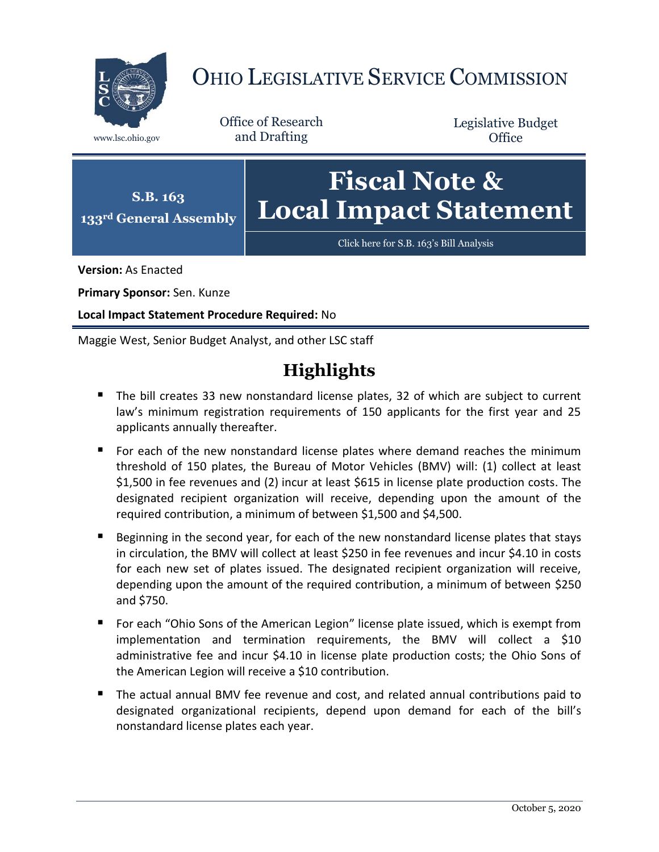

# OHIO LEGISLATIVE SERVICE COMMISSION

Office of Research www.lsc.ohio.gov and Drafting

Legislative Budget **Office** 



**Version:** As Enacted

**Primary Sponsor:** Sen. Kunze

**Local Impact Statement Procedure Required:** No

Maggie West, Senior Budget Analyst, and other LSC staff

# **Highlights**

- The bill creates 33 new nonstandard license plates, 32 of which are subject to current law's minimum registration requirements of 150 applicants for the first year and 25 applicants annually thereafter.
- For each of the new nonstandard license plates where demand reaches the minimum threshold of 150 plates, the Bureau of Motor Vehicles (BMV) will: (1) collect at least \$1,500 in fee revenues and (2) incur at least \$615 in license plate production costs. The designated recipient organization will receive, depending upon the amount of the required contribution, a minimum of between \$1,500 and \$4,500.
- **Beginning in the second year, for each of the new nonstandard license plates that stays** in circulation, the BMV will collect at least \$250 in fee revenues and incur \$4.10 in costs for each new set of plates issued. The designated recipient organization will receive, depending upon the amount of the required contribution, a minimum of between \$250 and \$750.
- For each "Ohio Sons of the American Legion" license plate issued, which is exempt from implementation and termination requirements, the BMV will collect a \$10 administrative fee and incur \$4.10 in license plate production costs; the Ohio Sons of the American Legion will receive a \$10 contribution.
- The actual annual BMV fee revenue and cost, and related annual contributions paid to designated organizational recipients, depend upon demand for each of the bill's nonstandard license plates each year.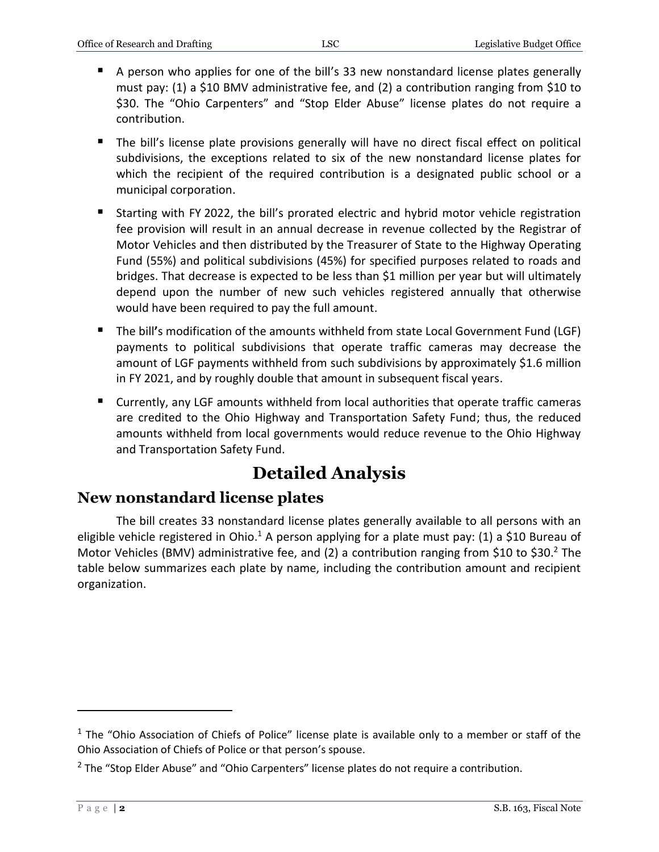- A person who applies for one of the bill's 33 new nonstandard license plates generally must pay: (1) a \$10 BMV administrative fee, and (2) a contribution ranging from \$10 to \$30. The "Ohio Carpenters" and "Stop Elder Abuse" license plates do not require a contribution.
- The bill's license plate provisions generally will have no direct fiscal effect on political subdivisions, the exceptions related to six of the new nonstandard license plates for which the recipient of the required contribution is a designated public school or a municipal corporation.
- Starting with FY 2022, the bill's prorated electric and hybrid motor vehicle registration fee provision will result in an annual decrease in revenue collected by the Registrar of Motor Vehicles and then distributed by the Treasurer of State to the Highway Operating Fund (55%) and political subdivisions (45%) for specified purposes related to roads and bridges. That decrease is expected to be less than \$1 million per year but will ultimately depend upon the number of new such vehicles registered annually that otherwise would have been required to pay the full amount.
- The bill**'**s modification of the amounts withheld from state Local Government Fund (LGF) payments to political subdivisions that operate traffic cameras may decrease the amount of LGF payments withheld from such subdivisions by approximately \$1.6 million in FY 2021, and by roughly double that amount in subsequent fiscal years.
- Currently, any LGF amounts withheld from local authorities that operate traffic cameras are credited to the Ohio Highway and Transportation Safety Fund; thus, the reduced amounts withheld from local governments would reduce revenue to the Ohio Highway and Transportation Safety Fund.

# **Detailed Analysis**

# **New nonstandard license plates**

The bill creates 33 nonstandard license plates generally available to all persons with an eligible vehicle registered in Ohio.<sup>1</sup> A person applying for a plate must pay: (1) a \$10 Bureau of Motor Vehicles (BMV) administrative fee, and (2) a contribution ranging from \$10 to \$30.<sup>2</sup> The table below summarizes each plate by name, including the contribution amount and recipient organization.

 $1$  The "Ohio Association of Chiefs of Police" license plate is available only to a member or staff of the Ohio Association of Chiefs of Police or that person's spouse.

<sup>&</sup>lt;sup>2</sup> The "Stop Elder Abuse" and "Ohio Carpenters" license plates do not require a contribution.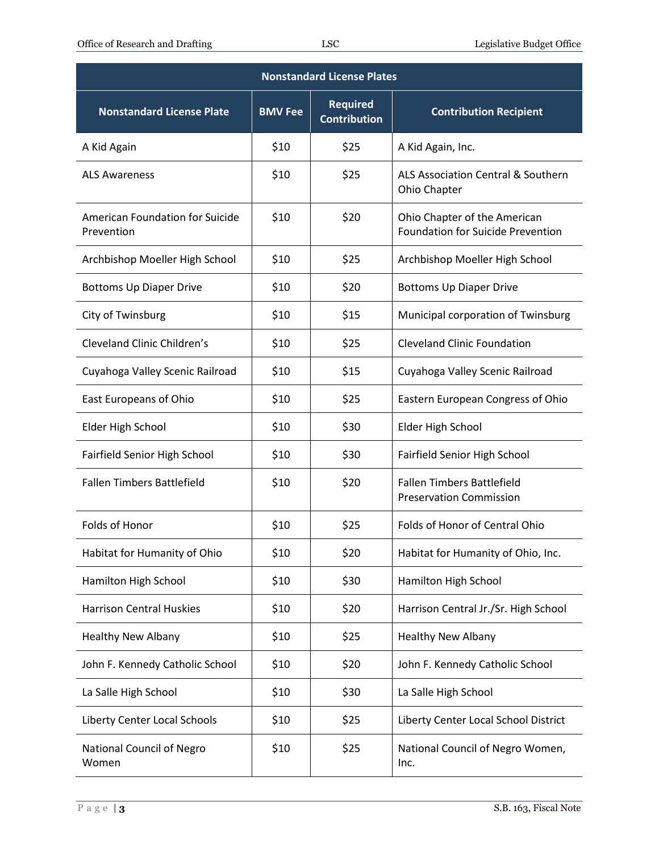| <b>Nonstandard License Plates</b>             |                |                                        |                                                                          |  |  |
|-----------------------------------------------|----------------|----------------------------------------|--------------------------------------------------------------------------|--|--|
| Nonstandard License Plate                     | <b>BMV Fee</b> | <b>Required</b><br><b>Contribution</b> | <b>Contribution Recipient</b>                                            |  |  |
| A Kid Again                                   | \$10           | \$25                                   | A Kid Again, Inc.                                                        |  |  |
| <b>ALS Awareness</b>                          | \$10           | \$25                                   | ALS Association Central & Southern<br>Ohio Chapter                       |  |  |
| American Foundation for Suicide<br>Prevention | \$10           | \$20                                   | Ohio Chapter of the American<br><b>Foundation for Suicide Prevention</b> |  |  |
| Archbishop Moeller High School                | \$10           | \$25                                   | Archbishop Moeller High School                                           |  |  |
| <b>Bottoms Up Diaper Drive</b>                | \$10           | \$20                                   | <b>Bottoms Up Diaper Drive</b>                                           |  |  |
| City of Twinsburg                             | \$10           | \$15                                   | Municipal corporation of Twinsburg                                       |  |  |
| Cleveland Clinic Children's                   | \$10           | \$25                                   | <b>Cleveland Clinic Foundation</b>                                       |  |  |
| Cuyahoga Valley Scenic Railroad               | \$10           | \$15                                   | Cuyahoga Valley Scenic Railroad                                          |  |  |
| East Europeans of Ohio                        | \$10           | \$25                                   | Eastern European Congress of Ohio                                        |  |  |
| Elder High School                             | \$10           | \$30                                   | Elder High School                                                        |  |  |
| Fairfield Senior High School                  | \$10           | \$30                                   | Fairfield Senior High School                                             |  |  |
| <b>Fallen Timbers Battlefield</b>             | \$10           | \$20                                   | <b>Fallen Timbers Battlefield</b><br><b>Preservation Commission</b>      |  |  |
| Folds of Honor                                | \$10           | \$25                                   | Folds of Honor of Central Ohio                                           |  |  |
| Habitat for Humanity of Ohio                  | \$10           | \$20                                   | Habitat for Humanity of Ohio, Inc.                                       |  |  |
| Hamilton High School                          | \$10           | \$30                                   | Hamilton High School                                                     |  |  |
| <b>Harrison Central Huskies</b>               | \$10           | \$20                                   | Harrison Central Jr./Sr. High School                                     |  |  |
| <b>Healthy New Albany</b>                     | \$10           | \$25                                   | <b>Healthy New Albany</b>                                                |  |  |
| John F. Kennedy Catholic School               | \$10           | \$20                                   | John F. Kennedy Catholic School                                          |  |  |
| La Salle High School                          | \$10           | \$30                                   | La Salle High School                                                     |  |  |
| Liberty Center Local Schools                  | \$10           | \$25                                   | Liberty Center Local School District                                     |  |  |
| National Council of Negro<br>Women            | \$10           | \$25                                   | National Council of Negro Women,<br>Inc.                                 |  |  |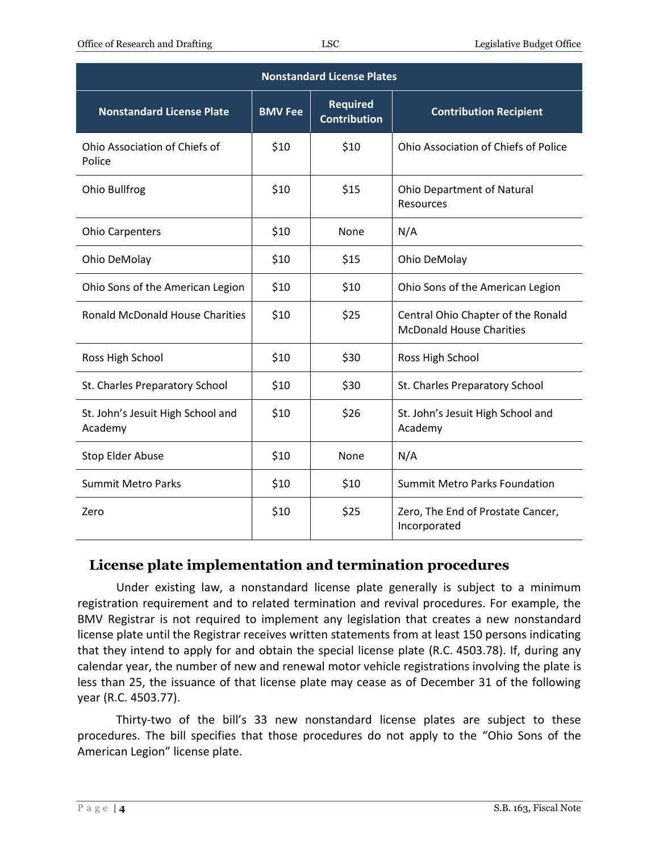| <b>Nonstandard License Plates</b>            |                |                                        |                                                                       |  |
|----------------------------------------------|----------------|----------------------------------------|-----------------------------------------------------------------------|--|
| <b>Nonstandard License Plate</b>             | <b>BMV Fee</b> | <b>Required</b><br><b>Contribution</b> | <b>Contribution Recipient</b>                                         |  |
| Ohio Association of Chiefs of<br>Police      | \$10           | \$10                                   | Ohio Association of Chiefs of Police                                  |  |
| Ohio Bullfrog                                | \$10           | \$15                                   | <b>Ohio Department of Natural</b><br><b>Resources</b>                 |  |
| <b>Ohio Carpenters</b>                       | \$10           | None                                   | N/A                                                                   |  |
| Ohio DeMolay                                 | \$10           | \$15                                   | Ohio DeMolay                                                          |  |
| Ohio Sons of the American Legion             | \$10           | \$10                                   | Ohio Sons of the American Legion                                      |  |
| <b>Ronald McDonald House Charities</b>       | \$10           | \$25                                   | Central Ohio Chapter of the Ronald<br><b>McDonald House Charities</b> |  |
| Ross High School                             | \$10           | \$30                                   | Ross High School                                                      |  |
| St. Charles Preparatory School               | \$10           | \$30                                   | St. Charles Preparatory School                                        |  |
| St. John's Jesuit High School and<br>Academy | \$10           | \$26                                   | St. John's Jesuit High School and<br>Academy                          |  |
| Stop Elder Abuse                             | \$10           | None                                   | N/A                                                                   |  |
| <b>Summit Metro Parks</b>                    | \$10           | \$10                                   | <b>Summit Metro Parks Foundation</b>                                  |  |
| Zero                                         | \$10           | \$25                                   | Zero, The End of Prostate Cancer,<br>Incorporated                     |  |

#### **License plate implementation and termination procedures**

Under existing law, a nonstandard license plate generally is subject to a minimum registration requirement and to related termination and revival procedures. For example, the BMV Registrar is not required to implement any legislation that creates a new nonstandard license plate until the Registrar receives written statements from at least 150 persons indicating that they intend to apply for and obtain the special license plate (R.C. 4503.78). If, during any calendar year, the number of new and renewal motor vehicle registrations involving the plate is less than 25, the issuance of that license plate may cease as of December 31 of the following year (R.C. 4503.77).

Thirty-two of the bill's 33 new nonstandard license plates are subject to these procedures. The bill specifies that those procedures do not apply to the "Ohio Sons of the American Legion" license plate.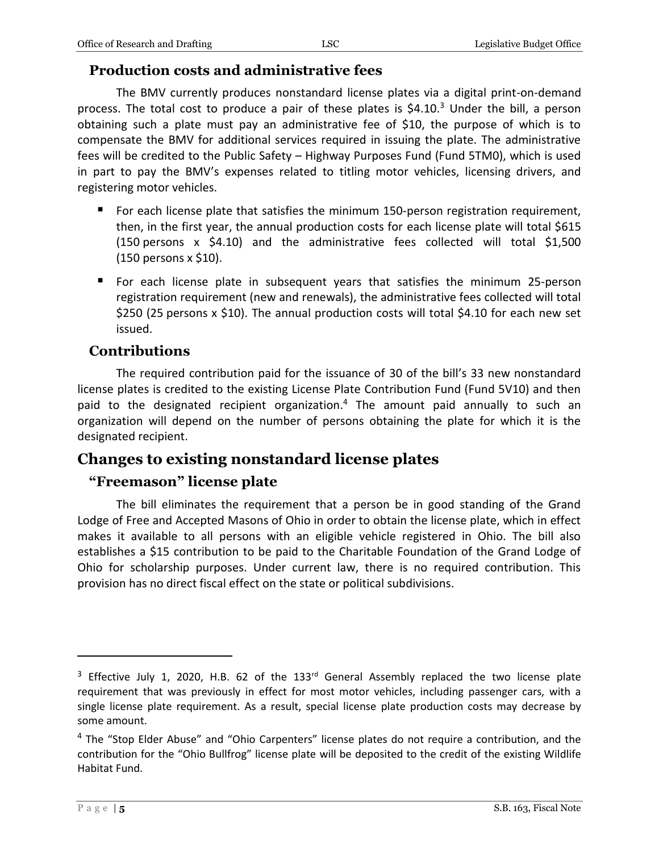#### **Production costs and administrative fees**

The BMV currently produces nonstandard license plates via a digital print-on-demand process. The total cost to produce a pair of these plates is  $$4.10<sup>3</sup>$  Under the bill, a person obtaining such a plate must pay an administrative fee of \$10, the purpose of which is to compensate the BMV for additional services required in issuing the plate. The administrative fees will be credited to the Public Safety – Highway Purposes Fund (Fund 5TM0), which is used in part to pay the BMV's expenses related to titling motor vehicles, licensing drivers, and registering motor vehicles.

- **For each license plate that satisfies the minimum 150-person registration requirement,** then, in the first year, the annual production costs for each license plate will total \$615 (150 persons x \$4.10) and the administrative fees collected will total \$1,500 (150 persons x \$10).
- For each license plate in subsequent years that satisfies the minimum 25-person registration requirement (new and renewals), the administrative fees collected will total \$250 (25 persons x \$10). The annual production costs will total \$4.10 for each new set issued.

## **Contributions**

The required contribution paid for the issuance of 30 of the bill's 33 new nonstandard license plates is credited to the existing License Plate Contribution Fund (Fund 5V10) and then paid to the designated recipient organization. <sup>4</sup> The amount paid annually to such an organization will depend on the number of persons obtaining the plate for which it is the designated recipient.

## **Changes to existing nonstandard license plates**

#### **"Freemason" license plate**

The bill eliminates the requirement that a person be in good standing of the Grand Lodge of Free and Accepted Masons of Ohio in order to obtain the license plate, which in effect makes it available to all persons with an eligible vehicle registered in Ohio. The bill also establishes a \$15 contribution to be paid to the Charitable Foundation of the Grand Lodge of Ohio for scholarship purposes. Under current law, there is no required contribution. This provision has no direct fiscal effect on the state or political subdivisions.

 $3$  Effective July 1, 2020, H.B. 62 of the 133<sup>rd</sup> General Assembly replaced the two license plate requirement that was previously in effect for most motor vehicles, including passenger cars, with a single license plate requirement. As a result, special license plate production costs may decrease by some amount.

<sup>&</sup>lt;sup>4</sup> The "Stop Elder Abuse" and "Ohio Carpenters" license plates do not require a contribution, and the contribution for the "Ohio Bullfrog" license plate will be deposited to the credit of the existing Wildlife Habitat Fund.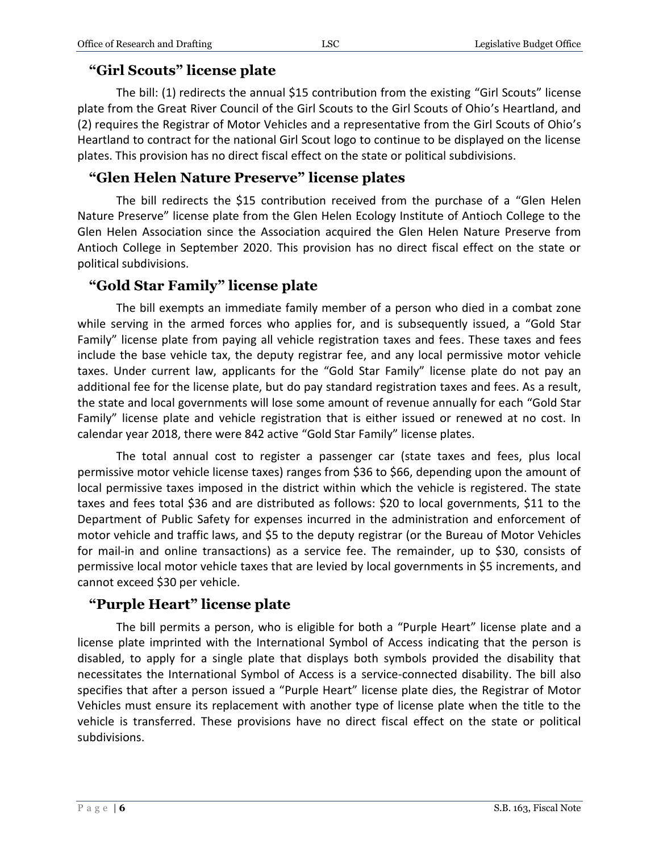# **"Girl Scouts" license plate**

The bill: (1) redirects the annual \$15 contribution from the existing "Girl Scouts" license plate from the Great River Council of the Girl Scouts to the Girl Scouts of Ohio's Heartland, and (2) requires the Registrar of Motor Vehicles and a representative from the Girl Scouts of Ohio's Heartland to contract for the national Girl Scout logo to continue to be displayed on the license plates. This provision has no direct fiscal effect on the state or political subdivisions.

# **"Glen Helen Nature Preserve" license plates**

The bill redirects the \$15 contribution received from the purchase of a "Glen Helen Nature Preserve" license plate from the Glen Helen Ecology Institute of Antioch College to the Glen Helen Association since the Association acquired the Glen Helen Nature Preserve from Antioch College in September 2020. This provision has no direct fiscal effect on the state or political subdivisions.

# **"Gold Star Family" license plate**

The bill exempts an immediate family member of a person who died in a combat zone while serving in the armed forces who applies for, and is subsequently issued, a "Gold Star Family" license plate from paying all vehicle registration taxes and fees. These taxes and fees include the base vehicle tax, the deputy registrar fee, and any local permissive motor vehicle taxes. Under current law, applicants for the "Gold Star Family" license plate do not pay an additional fee for the license plate, but do pay standard registration taxes and fees. As a result, the state and local governments will lose some amount of revenue annually for each "Gold Star Family" license plate and vehicle registration that is either issued or renewed at no cost. In calendar year 2018, there were 842 active "Gold Star Family" license plates.

The total annual cost to register a passenger car (state taxes and fees, plus local permissive motor vehicle license taxes) ranges from \$36 to \$66, depending upon the amount of local permissive taxes imposed in the district within which the vehicle is registered. The state taxes and fees total \$36 and are distributed as follows: \$20 to local governments, \$11 to the Department of Public Safety for expenses incurred in the administration and enforcement of motor vehicle and traffic laws, and \$5 to the deputy registrar (or the Bureau of Motor Vehicles for mail-in and online transactions) as a service fee. The remainder, up to \$30, consists of permissive local motor vehicle taxes that are levied by local governments in \$5 increments, and cannot exceed \$30 per vehicle.

# **"Purple Heart" license plate**

The bill permits a person, who is eligible for both a "Purple Heart" license plate and a license plate imprinted with the International Symbol of Access indicating that the person is disabled, to apply for a single plate that displays both symbols provided the disability that necessitates the International Symbol of Access is a service-connected disability. The bill also specifies that after a person issued a "Purple Heart" license plate dies, the Registrar of Motor Vehicles must ensure its replacement with another type of license plate when the title to the vehicle is transferred. These provisions have no direct fiscal effect on the state or political subdivisions.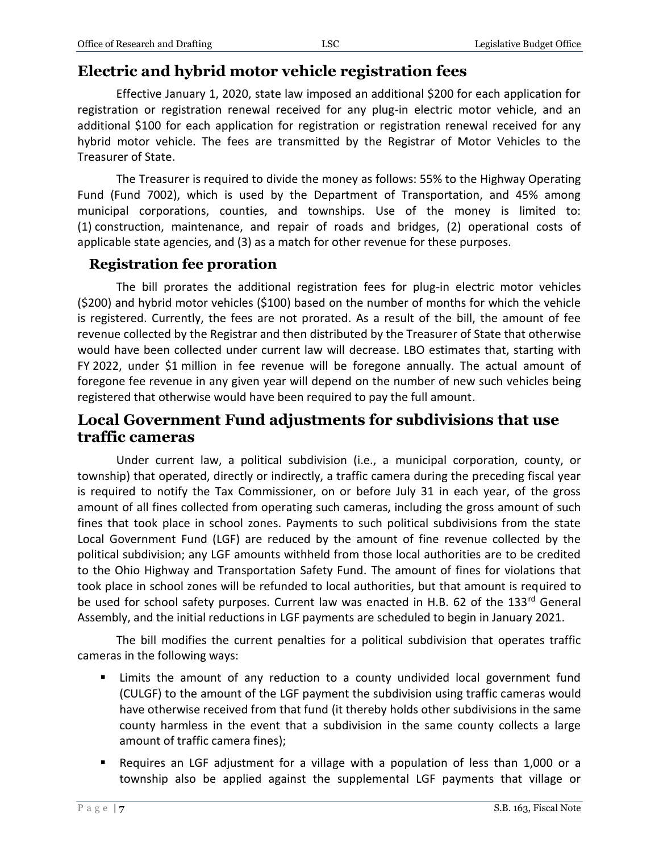# **Electric and hybrid motor vehicle registration fees**

Effective January 1, 2020, state law imposed an additional \$200 for each application for registration or registration renewal received for any plug-in electric motor vehicle, and an additional \$100 for each application for registration or registration renewal received for any hybrid motor vehicle. The fees are transmitted by the Registrar of Motor Vehicles to the Treasurer of State.

The Treasurer is required to divide the money as follows: 55% to the Highway Operating Fund (Fund 7002), which is used by the Department of Transportation, and 45% among municipal corporations, counties, and townships. Use of the money is limited to: (1) construction, maintenance, and repair of roads and bridges, (2) operational costs of applicable state agencies, and (3) as a match for other revenue for these purposes.

#### **Registration fee proration**

The bill prorates the additional registration fees for plug-in electric motor vehicles (\$200) and hybrid motor vehicles (\$100) based on the number of months for which the vehicle is registered. Currently, the fees are not prorated. As a result of the bill, the amount of fee revenue collected by the Registrar and then distributed by the Treasurer of State that otherwise would have been collected under current law will decrease. LBO estimates that, starting with FY 2022, under \$1 million in fee revenue will be foregone annually. The actual amount of foregone fee revenue in any given year will depend on the number of new such vehicles being registered that otherwise would have been required to pay the full amount.

## **Local Government Fund adjustments for subdivisions that use traffic cameras**

Under current law, a political subdivision (i.e., a municipal corporation, county, or township) that operated, directly or indirectly, a traffic camera during the preceding fiscal year is required to notify the Tax Commissioner, on or before July 31 in each year, of the gross amount of all fines collected from operating such cameras, including the gross amount of such fines that took place in school zones. Payments to such political subdivisions from the state Local Government Fund (LGF) are reduced by the amount of fine revenue collected by the political subdivision; any LGF amounts withheld from those local authorities are to be credited to the Ohio Highway and Transportation Safety Fund. The amount of fines for violations that took place in school zones will be refunded to local authorities, but that amount is required to be used for school safety purposes. Current law was enacted in H.B. 62 of the 133rd General Assembly, and the initial reductions in LGF payments are scheduled to begin in January 2021.

The bill modifies the current penalties for a political subdivision that operates traffic cameras in the following ways:

- Limits the amount of any reduction to a county undivided local government fund (CULGF) to the amount of the LGF payment the subdivision using traffic cameras would have otherwise received from that fund (it thereby holds other subdivisions in the same county harmless in the event that a subdivision in the same county collects a large amount of traffic camera fines);
- Requires an LGF adjustment for a village with a population of less than 1,000 or a township also be applied against the supplemental LGF payments that village or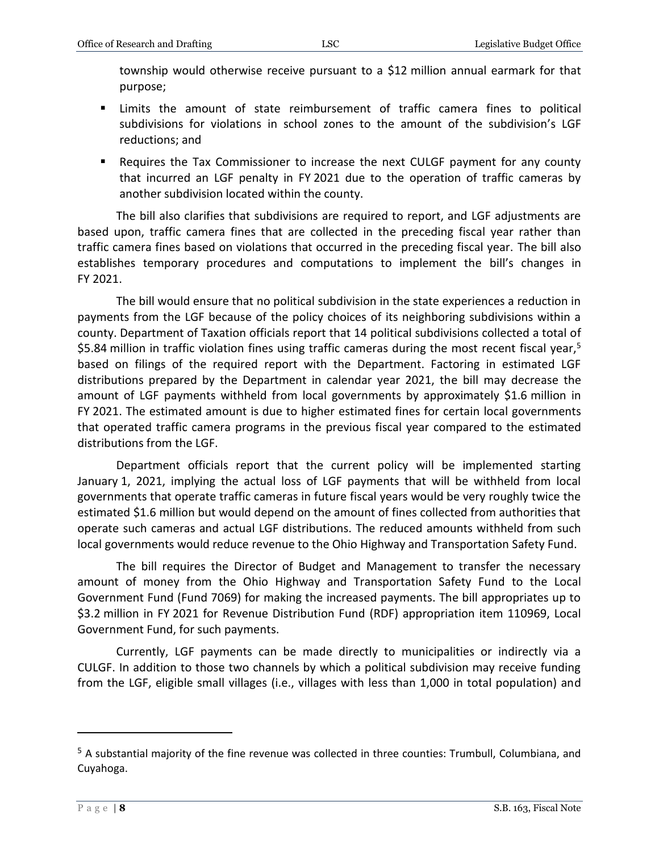township would otherwise receive pursuant to a \$12 million annual earmark for that purpose;

- Limits the amount of state reimbursement of traffic camera fines to political subdivisions for violations in school zones to the amount of the subdivision's LGF reductions; and
- Requires the Tax Commissioner to increase the next CULGF payment for any county that incurred an LGF penalty in FY 2021 due to the operation of traffic cameras by another subdivision located within the county.

The bill also clarifies that subdivisions are required to report, and LGF adjustments are based upon, traffic camera fines that are collected in the preceding fiscal year rather than traffic camera fines based on violations that occurred in the preceding fiscal year. The bill also establishes temporary procedures and computations to implement the bill's changes in FY 2021.

The bill would ensure that no political subdivision in the state experiences a reduction in payments from the LGF because of the policy choices of its neighboring subdivisions within a county. Department of Taxation officials report that 14 political subdivisions collected a total of \$5.84 million in traffic violation fines using traffic cameras during the most recent fiscal year,<sup>5</sup> based on filings of the required report with the Department. Factoring in estimated LGF distributions prepared by the Department in calendar year 2021, the bill may decrease the amount of LGF payments withheld from local governments by approximately \$1.6 million in FY 2021. The estimated amount is due to higher estimated fines for certain local governments that operated traffic camera programs in the previous fiscal year compared to the estimated distributions from the LGF.

Department officials report that the current policy will be implemented starting January 1, 2021, implying the actual loss of LGF payments that will be withheld from local governments that operate traffic cameras in future fiscal years would be very roughly twice the estimated \$1.6 million but would depend on the amount of fines collected from authorities that operate such cameras and actual LGF distributions. The reduced amounts withheld from such local governments would reduce revenue to the Ohio Highway and Transportation Safety Fund.

The bill requires the Director of Budget and Management to transfer the necessary amount of money from the Ohio Highway and Transportation Safety Fund to the Local Government Fund (Fund 7069) for making the increased payments. The bill appropriates up to \$3.2 million in FY 2021 for Revenue Distribution Fund (RDF) appropriation item 110969, Local Government Fund, for such payments.

Currently, LGF payments can be made directly to municipalities or indirectly via a CULGF. In addition to those two channels by which a political subdivision may receive funding from the LGF, eligible small villages (i.e., villages with less than 1,000 in total population) and

<sup>5</sup> A substantial majority of the fine revenue was collected in three counties: Trumbull, Columbiana, and Cuyahoga.